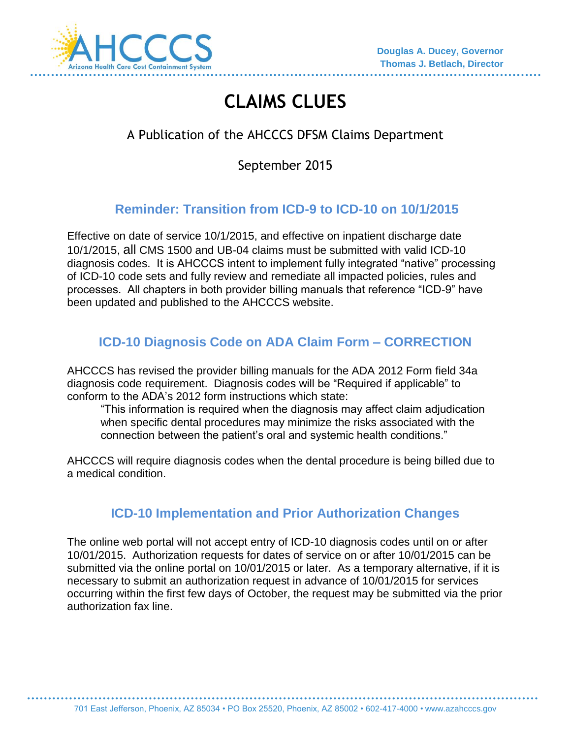

# **CLAIMS CLUES**

# A Publication of the AHCCCS DFSM Claims Department

September 2015

# **Reminder: Transition from ICD-9 to ICD-10 on 10/1/2015**

Effective on date of service 10/1/2015, and effective on inpatient discharge date 10/1/2015, all CMS 1500 and UB-04 claims must be submitted with valid ICD-10 diagnosis codes. It is AHCCCS intent to implement fully integrated "native" processing of ICD-10 code sets and fully review and remediate all impacted policies, rules and processes. All chapters in both provider billing manuals that reference "ICD-9" have been updated and published to the AHCCCS website.

# **ICD-10 Diagnosis Code on ADA Claim Form – CORRECTION**

AHCCCS has revised the provider billing manuals for the ADA 2012 Form field 34a diagnosis code requirement. Diagnosis codes will be "Required if applicable" to conform to the ADA's 2012 form instructions which state:

"This information is required when the diagnosis may affect claim adjudication when specific dental procedures may minimize the risks associated with the connection between the patient's oral and systemic health conditions."

AHCCCS will require diagnosis codes when the dental procedure is being billed due to a medical condition.

### **ICD-10 Implementation and Prior Authorization Changes**

The online web portal will not accept entry of ICD-10 diagnosis codes until on or after 10/01/2015. Authorization requests for dates of service on or after 10/01/2015 can be submitted via the online portal on 10/01/2015 or later. As a temporary alternative, if it is necessary to submit an authorization request in advance of 10/01/2015 for services occurring within the first few days of October, the request may be submitted via the prior authorization fax line.